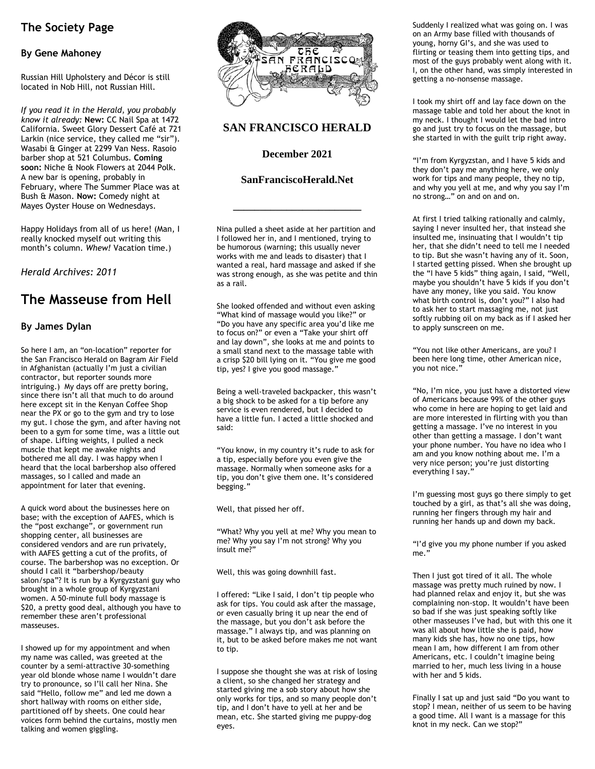# **The Society Page**

### **By Gene Mahoney**

Russian Hill Upholstery and Décor is still located in Nob Hill, not Russian Hill.

*If you read it in the Herald, you probably know it already:* **New:** CC Nail Spa at 1472 California. Sweet Glory Dessert Café at 721 Larkin (nice service, they called me "sir"). Wasabi & Ginger at 2299 Van Ness. Rasoio barber shop at 521 Columbus. **Coming soon:** Niche & Nook Flowers at 2044 Polk. A new bar is opening, probably in February, where The Summer Place was at Bush & Mason. **Now:** Comedy night at Mayes Oyster House on Wednesdays.

Happy Holidays from all of us here! (Man, I really knocked myself out writing this month's column. *Whew!* Vacation time.)

*Herald Archives: 2011* 

# **The Masseuse from Hell**

#### **By James Dylan**

So here I am, an "on-location" reporter for the San Francisco Herald on Bagram Air Field in Afghanistan (actually I'm just a civilian contractor, but reporter sounds more intriguing.) My days off are pretty boring, since there isn't all that much to do around here except sit in the Kenyan Coffee Shop near the PX or go to the gym and try to lose my gut. I chose the gym, and after having not been to a gym for some time, was a little out of shape. Lifting weights, I pulled a neck muscle that kept me awake nights and bothered me all day. I was happy when I heard that the local barbershop also offered massages, so I called and made an appointment for later that evening.

A quick word about the businesses here on base; with the exception of AAFES, which is the "post exchange", or government run shopping center, all businesses are considered vendors and are run privately, with AAFES getting a cut of the profits, of course. The barbershop was no exception. Or should I call it "barbershop/beauty salon/spa"? It is run by a Kyrgyzstani guy who brought in a whole group of Kyrgyzstani women. A 50-minute full body massage is \$20, a pretty good deal, although you have to remember these aren't professional masseuses.

I showed up for my appointment and when my name was called, was greeted at the counter by a semi-attractive 30-something year old blonde whose name I wouldn't dare try to pronounce, so I'll call her Nina. She said "Hello, follow me" and led me down a short hallway with rooms on either side, partitioned off by sheets. One could hear voices form behind the curtains, mostly men talking and women giggling.



### **SAN FRANCISCO HERALD**

**December 2021** 

#### **SanFranciscoHerald.Net**

**\_\_\_\_\_\_\_\_\_\_\_\_\_\_\_\_\_\_\_\_\_\_\_\_** 

Nina pulled a sheet aside at her partition and I followed her in, and I mentioned, trying to be humorous (warning; this usually never works with me and leads to disaster) that I wanted a real, hard massage and asked if she was strong enough, as she was petite and thin as a rail.

She looked offended and without even asking "What kind of massage would you like?" or "Do you have any specific area you'd like me to focus on?" or even a "Take your shirt off and lay down", she looks at me and points to a small stand next to the massage table with a crisp \$20 bill lying on it. "You give me good tip, yes? I give you good massage."

Being a well-traveled backpacker, this wasn't a big shock to be asked for a tip before any service is even rendered, but I decided to have a little fun. I acted a little shocked and said:

"You know, in my country it's rude to ask for a tip, especially before you even give the massage. Normally when someone asks for a tip, you don't give them one. It's considered begging."

Well, that pissed her off.

"What? Why you yell at me? Why you mean to me? Why you say I'm not strong? Why you insult me?"

Well, this was going downhill fast.

I offered: "Like I said, I don't tip people who ask for tips. You could ask after the massage, or even casually bring it up near the end of the massage, but you don't ask before the massage." I always tip, and was planning on it, but to be asked before makes me not want to tip.

I suppose she thought she was at risk of losing a client, so she changed her strategy and started giving me a sob story about how she only works for tips, and so many people don't tip, and I don't have to yell at her and be mean, etc. She started giving me puppy-dog eyes.

Suddenly I realized what was going on. I was on an Army base filled with thousands of young, horny GI's, and she was used to flirting or teasing them into getting tips, and most of the guys probably went along with it. I, on the other hand, was simply interested in getting a no-nonsense massage.

I took my shirt off and lay face down on the massage table and told her about the knot in my neck. I thought I would let the bad intro go and just try to focus on the massage, but she started in with the guilt trip right away.

"I'm from Kyrgyzstan, and I have 5 kids and they don't pay me anything here, we only work for tips and many people, they no tip, and why you yell at me, and why you say I'm no strong…" on and on and on.

At first I tried talking rationally and calmly, saying I never insulted her, that instead she insulted me, insinuating that I wouldn't tip her, that she didn't need to tell me I needed to tip. But she wasn't having any of it. Soon, I started getting pissed. When she brought up the "I have 5 kids" thing again, I said, "Well, maybe you shouldn't have 5 kids if you don't have any money, like you said. You know what birth control is, don't you?" I also had to ask her to start massaging me, not just softly rubbing oil on my back as if I asked her to apply sunscreen on me.

"You not like other Americans, are you? I been here long time, other American nice, you not nice."

"No, I'm nice, you just have a distorted view of Americans because 99% of the other guys who come in here are hoping to get laid and are more interested in flirting with you than getting a massage. I've no interest in you other than getting a massage. I don't want your phone number. You have no idea who I am and you know nothing about me. I'm a very nice person; you're just distorting everything I say."

I'm guessing most guys go there simply to get touched by a girl, as that's all she was doing, running her fingers through my hair and running her hands up and down my back.

"I'd give you my phone number if you asked me."

Then I just got tired of it all. The whole massage was pretty much ruined by now. I had planned relax and enjoy it, but she was complaining non-stop. It wouldn't have been so bad if she was just speaking softly like other masseuses I've had, but with this one it was all about how little she is paid, how many kids she has, how no one tips, how mean I am, how different I am from other Americans, etc. I couldn't imagine being married to her, much less living in a house with her and 5 kids.

Finally I sat up and just said "Do you want to stop? I mean, neither of us seem to be having a good time. All I want is a massage for this knot in my neck. Can we stop?"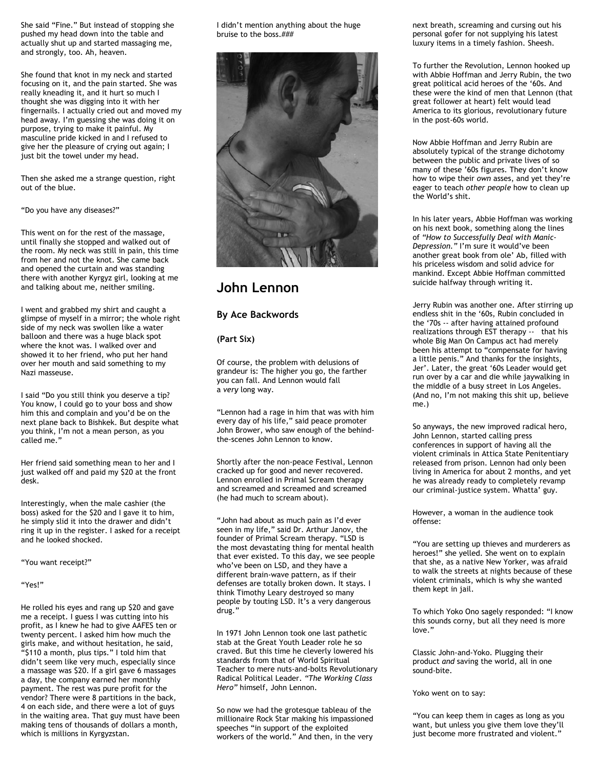She said "Fine." But instead of stopping she pushed my head down into the table and actually shut up and started massaging me, and strongly, too. Ah, heaven.

She found that knot in my neck and started focusing on it, and the pain started. She was really kneading it, and it hurt so much I thought she was digging into it with her fingernails. I actually cried out and moved my head away. I'm guessing she was doing it on purpose, trying to make it painful. My masculine pride kicked in and I refused to give her the pleasure of crying out again; I just bit the towel under my head.

Then she asked me a strange question, right out of the blue.

"Do you have any diseases?"

This went on for the rest of the massage, until finally she stopped and walked out of the room. My neck was still in pain, this time from her and not the knot. She came back and opened the curtain and was standing there with another Kyrgyz girl, looking at me and talking about me, neither smiling.

I went and grabbed my shirt and caught a glimpse of myself in a mirror; the whole right side of my neck was swollen like a water balloon and there was a huge black spot where the knot was. I walked over and showed it to her friend, who put her hand over her mouth and said something to my Nazi masseuse.

I said "Do you still think you deserve a tip? You know, I could go to your boss and show him this and complain and you'd be on the next plane back to Bishkek. But despite what you think, I'm not a mean person, as you called me."

Her friend said something mean to her and I just walked off and paid my \$20 at the front desk.

Interestingly, when the male cashier (the boss) asked for the \$20 and I gave it to him, he simply slid it into the drawer and didn't ring it up in the register. I asked for a receipt and he looked shocked.

"You want receipt?"

#### "Yes!"

He rolled his eyes and rang up \$20 and gave me a receipt. I guess I was cutting into his profit, as I knew he had to give AAFES ten or twenty percent. I asked him how much the girls make, and without hesitation, he said, "\$110 a month, plus tips." I told him that didn't seem like very much, especially since a massage was \$20. If a girl gave 6 massages a day, the company earned her monthly payment. The rest was pure profit for the vendor? There were 8 partitions in the back, 4 on each side, and there were a lot of guys in the waiting area. That guy must have been making tens of thousands of dollars a month, which is millions in Kyrgyzstan.

I didn't mention anything about the huge bruise to the boss.###



## **John Lennon**

#### **By Ace Backwords**

#### **(Part Six)**

Of course, the problem with delusions of grandeur is: The higher you go, the farther you can fall. And Lennon would fall a *very* long way.

"Lennon had a rage in him that was with him every day of his life," said peace promoter John Brower, who saw enough of the behindthe-scenes John Lennon to know.

Shortly after the non-peace Festival, Lennon cracked up for good and never recovered. Lennon enrolled in Primal Scream therapy and screamed and screamed and screamed (he had much to scream about).

"John had about as much pain as I'd ever seen in my life," said Dr. Arthur Janov, the founder of Primal Scream therapy. "LSD is the most devastating thing for mental health that ever existed. To this day, we see people who've been on LSD, and they have a different brain-wave pattern, as if their defenses are totally broken down. It stays. I think Timothy Leary destroyed so many people by touting LSD. It's a very dangerous drug."

In 1971 John Lennon took one last pathetic stab at the Great Youth Leader role he so craved. But this time he cleverly lowered his standards from that of World Spiritual Teacher to mere nuts-and-bolts Revolutionary Radical Political Leader. *"The Working Class Hero"* himself, John Lennon.

So now we had the grotesque tableau of the millionaire Rock Star making his impassioned speeches "in support of the exploited workers of the world." And then, in the very

next breath, screaming and cursing out his personal gofer for not supplying his latest luxury items in a timely fashion. Sheesh.

To further the Revolution, Lennon hooked up with Abbie Hoffman and Jerry Rubin, the two great political acid heroes of the '60s. And these were the kind of men that Lennon (that great follower at heart) felt would lead America to its glorious, revolutionary future in the post-60s world.

Now Abbie Hoffman and Jerry Rubin are absolutely typical of the strange dichotomy between the public and private lives of so many of these '60s figures. They don't know how to wipe their *own* asses, and yet they're eager to teach *other people* how to clean up the World's shit.

In his later years, Abbie Hoffman was working on his next book, something along the lines of *"How to Successfully Deal with Manic-Depression."* I'm sure it would've been another great book from ole' Ab, filled with his priceless wisdom and solid advice for mankind. Except Abbie Hoffman committed suicide halfway through writing it.

Jerry Rubin was another one. After stirring up endless shit in the '60s, Rubin concluded in the '70s -- after having attained profound realizations through EST therapy -- that his whole Big Man On Campus act had merely been his attempt to "compensate for having a little penis." And thanks for the insights, Jer'. Later, the great '60s Leader would get run over by a car and die while jaywalking in the middle of a busy street in Los Angeles. (And no, I'm not making this shit up, believe me.)

So anyways, the new improved radical hero, John Lennon, started calling press conferences in support of having all the violent criminals in Attica State Penitentiary released from prison. Lennon had only been living in America for about 2 months, and yet he was already ready to completely revamp our criminal-justice system. Whatta' guy.

However, a woman in the audience took offense:

"You are setting up thieves and murderers as heroes!" she yelled. She went on to explain that she, as a native New Yorker, was afraid to walk the streets at nights because of these violent criminals, which is why she wanted them kept in jail.

To which Yoko Ono sagely responded: "I know this sounds corny, but all they need is more love."

Classic John-and-Yoko. Plugging their product *and* saving the world, all in one sound-bite.

Yoko went on to say:

"You can keep them in cages as long as you want, but unless you give them love they'll just become more frustrated and violent."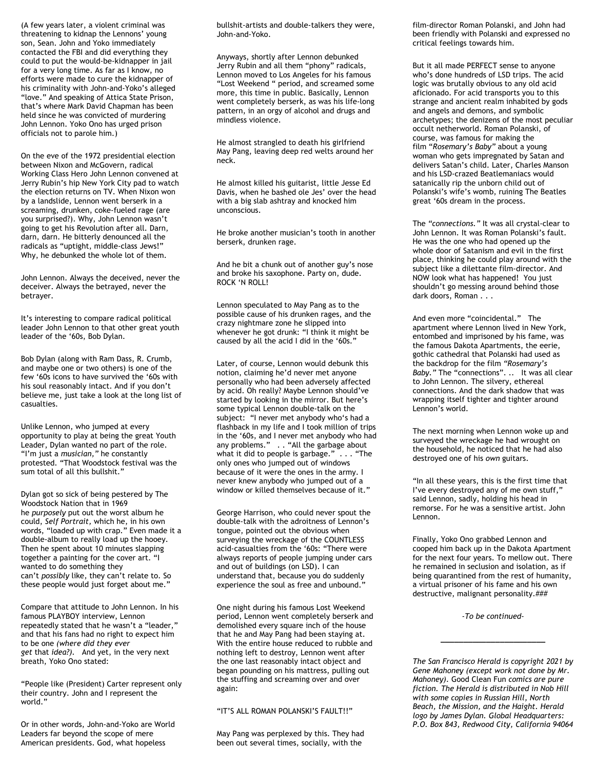(A few years later, a violent criminal was threatening to kidnap the Lennons' young son, Sean. John and Yoko immediately contacted the FBI and did everything they could to put the would-be-kidnapper in jail for a very long time. As far as I know, no efforts were made to cure the kidnapper of his criminality with John-and-Yoko's alleged "love." And speaking of Attica State Prison, that's where Mark David Chapman has been held since he was convicted of murdering John Lennon. Yoko Ono has urged prison officials not to parole him.)

On the eve of the 1972 presidential election between Nixon and McGovern, radical Working Class Hero John Lennon convened at Jerry Rubin's hip New York City pad to watch the election returns on TV. When Nixon won by a landslide, Lennon went berserk in a screaming, drunken, coke-fueled rage (are you surprised?). Why, John Lennon wasn't going to get his Revolution after all. Darn, darn, darn. He bitterly denounced all the radicals as "uptight, middle-class Jews!" Why, he debunked the whole lot of them.

John Lennon. Always the deceived, never the deceiver. Always the betrayed, never the betrayer.

It's interesting to compare radical political leader John Lennon to that other great youth leader of the '60s, Bob Dylan.

Bob Dylan (along with Ram Dass, R. Crumb, and maybe one or two others) is one of the few '60s icons to have survived the '60s with his soul reasonably intact. And if you don't believe me, just take a look at the long list of casualties.

Unlike Lennon, who jumped at every opportunity to play at being the great Youth Leader, Dylan wanted no part of the role. "I'm just a *musician,"* he constantly protested. "That Woodstock festival was the sum total of all this bullshit."

Dylan got so sick of being pestered by The Woodstock Nation that in 1969 he *purposely* put out the worst album he could, *Self Portrait,* which he, in his own words, "loaded up with crap." Even made it a double-album to really load up the hooey. Then he spent about 10 minutes slapping together a painting for the cover art. "I wanted to do something they can't *possibly* like, they can't relate to. So these people would just forget about me."

Compare that attitude to John Lennon. In his famous PLAYBOY interview, Lennon repeatedly stated that he wasn't a "leader," and that his fans had no right to expect him to be one *(where did they ever get* that *idea?).* And yet, in the very next breath, Yoko Ono stated:

"People like (President) Carter represent only their country. John and I represent the world."

Or in other words, John-and-Yoko are World Leaders far beyond the scope of mere American presidents. God, what hopeless

bullshit-artists and double-talkers they were, John-and-Yoko.

Anyways, shortly after Lennon debunked Jerry Rubin and all them "phony" radicals, Lennon moved to Los Angeles for his famous "Lost Weekend " period, and screamed some more, this time in public. Basically, Lennon went completely berserk, as was his life-long pattern, in an orgy of alcohol and drugs and mindless violence.

He almost strangled to death his girlfriend May Pang, leaving deep red welts around her neck.

He almost killed his guitarist, little Jesse Ed Davis, when he bashed ole Jes' over the head with a big slab ashtray and knocked him unconscious.

He broke another musician's tooth in another berserk, drunken rage.

And he bit a chunk out of another guy's nose and broke his saxophone. Party on, dude. ROCK 'N ROLL!

Lennon speculated to May Pang as to the possible cause of his drunken rages, and the crazy nightmare zone he slipped into whenever he got drunk: "I think it might be caused by all the acid I did in the '60s."

Later, of course, Lennon would debunk this notion, claiming he'd never met anyone personally who had been adversely affected by acid. Oh really? Maybe Lennon should've started by looking in the mirror. But here's some typical Lennon double-talk on the subject: "I never met anybody who's had a flashback in my life and I took million of trips in the '60s, and I never met anybody who had any problems." . . "All the garbage about what it did to people is garbage." . . . "The only ones who jumped out of windows because of it were the ones in the army. I never knew anybody who jumped out of a window or killed themselves because of it."

George Harrison, who could never spout the double-talk with the adroitness of Lennon's tongue, pointed out the obvious when surveying the wreckage of the COUNTLESS acid-casualties from the '60s: "There were always reports of people jumping under cars and out of buildings (on LSD). I can understand that, because you do suddenly experience the soul as free and unbound."

One night during his famous Lost Weekend period, Lennon went completely berserk and demolished every square inch of the house that he and May Pang had been staying at. With the entire house reduced to rubble and nothing left to destroy, Lennon went after the one last reasonably intact object and began pounding on his mattress, pulling out the stuffing and screaming over and over again:

#### "IT'S ALL ROMAN POLANSKI'S FAULT!!"

May Pang was perplexed by this. They had been out several times, socially, with the

film-director Roman Polanski, and John had been friendly with Polanski and expressed no critical feelings towards him.

But it all made PERFECT sense to anyone who's done hundreds of LSD trips. The acid logic was brutally obvious to any old acid aficionado. For acid transports you to this strange and ancient realm inhabited by gods and angels and demons, and symbolic archetypes; the denizens of the most peculiar occult netherworld. Roman Polanski, of course, was famous for making the film "*Rosemary's Baby"* about a young woman who gets impregnated by Satan and delivers Satan's child. Later, Charles Manson and his LSD-crazed Beatlemaniacs would satanically rip the unborn child out of Polanski's wife's womb, ruining The Beatles great '60s dream in the process.

The *"connections."* It was all crystal-clear to John Lennon. It was Roman Polanski's fault. He was the one who had opened up the whole door of Satanism and evil in the first place, thinking he could play around with the subject like a dilettante film-director. And NOW look what has happened! You just shouldn't go messing around behind those dark doors, Roman . . .

And even more "coincidental." The apartment where Lennon lived in New York, entombed and imprisoned by his fame, was the famous Dakota Apartments, the eerie, gothic cathedral that Polanski had used as the backdrop for the film *"Rosemary's Baby."* The "connections". .. It was all clear to John Lennon. The silvery, ethereal connections. And the dark shadow that was wrapping itself tighter and tighter around Lennon's world.

The next morning when Lennon woke up and surveyed the wreckage he had wrought on the household, he noticed that he had also destroyed one of his *own* guitars.

"In all these years, this is the first time that I've every destroyed any of me own stuff," said Lennon, sadly, holding his head in remorse. For he was a sensitive artist. John Lennon.

Finally, Yoko Ono grabbed Lennon and cooped him back up in the Dakota Apartment for the next four years. To mellow out. There he remained in seclusion and isolation, as if being quarantined from the rest of humanity, a virtual prisoner of his fame and his own destructive, malignant personality.###

*-To be continued-* 

*\_\_\_\_\_\_\_\_\_\_\_\_\_\_\_\_\_\_\_\_\_\_\_* 

*The San Francisco Herald is copyright 2021 by Gene Mahoney (except work not done by Mr. Mahoney).* Good Clean Fun *comics are pure fiction. The Herald is distributed in Nob Hill with some copies in Russian Hill, North Beach, the Mission, and the Haight. Herald logo by James Dylan. Global Headquarters: P.O. Box 843, Redwood City, California 94064*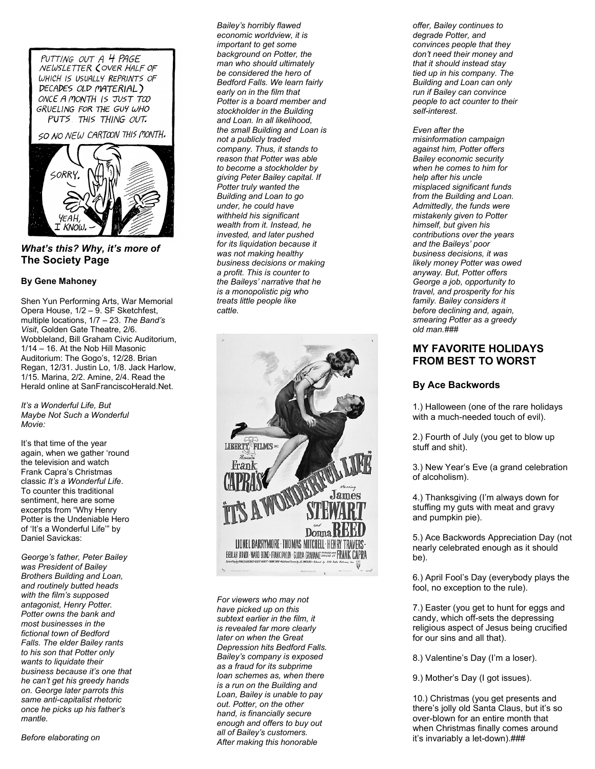PUTTING OUT A 4 PAGE<br>NEWSLETTER COVER HALF OF WHICH IS USUALLY REPRINTS OF DECADES OLD MATERIAL) ONCE A MONTH IS JUST TOO GRUELING FOR THE GUY WHO PUTS THIS THING OUT. SO NO NEW CARTOON THIS MONTH. SORRY. KNOW

### *What's this? Why, it's more of*  **The Society Page**

#### **By Gene Mahoney**

Shen Yun Performing Arts, War Memorial Opera House, 1/2 – 9. SF Sketchfest, multiple locations, 1/7 – 23. *The Band's Visit*, Golden Gate Theatre, 2/6. Wobbleland, Bill Graham Civic Auditorium, 1/14 – 16. At the Nob Hill Masonic Auditorium: The Gogo's, 12/28. Brian Regan, 12/31. Justin Lo, 1/8. Jack Harlow, 1/15. Marina, 2/2. Amine, 2/4. Read the Herald online at SanFranciscoHerald.Net.

*It's a Wonderful Life, But Maybe Not Such a Wonderful Movie:* 

It's that time of the year again, when we gather 'round the television and watch Frank Capra's Christmas classic *It's a Wonderful Life*. To counter this traditional sentiment, here are some excerpts from "Why Henry Potter is the Undeniable Hero of 'It's a Wonderful Life'" by Daniel Savickas:

*George's father, Peter Bailey was President of Bailey Brothers Building and Loan, and routinely butted heads with the film's supposed antagonist, Henry Potter. Potter owns the bank and most businesses in the fictional town of Bedford Falls. The elder Bailey rants to his son that Potter only wants to liquidate their business because it's one that he can't get his greedy hands on. George later parrots this same anti-capitalist rhetoric once he picks up his father's mantle.* 

*Before elaborating on* 

*Bailey's horribly flawed economic worldview, it is important to get some background on Potter, the man who should ultimately be considered the hero of Bedford Falls. We learn fairly early on in the film that Potter is a board member and stockholder in the Building and Loan. In all likelihood, the small Building and Loan is not a publicly traded company. Thus, it stands to reason that Potter was able to become a stockholder by giving Peter Bailey capital. If Potter truly wanted the Building and Loan to go under, he could have withheld his significant wealth from it. Instead, he invested, and later pushed for its liquidation because it was not making healthy business decisions or making a profit. This is counter to the Baileys' narrative that he is a monopolistic pig who treats little people like cattle.* 



*For viewers who may not have picked up on this subtext earlier in the film, it is revealed far more clearly later on when the Great Depression hits Bedford Falls. Bailey's company is exposed as a fraud for its subprime loan schemes as, when there is a run on the Building and Loan, Bailey is unable to pay out. Potter, on the other hand, is financially secure enough and offers to buy out all of Bailey's customers. After making this honorable* 

*offer, Bailey continues to degrade Potter, and convinces people that they don't need their money and that it should instead stay tied up in his company. The Building and Loan can only run if Bailey can convince people to act counter to their self-interest.* 

*Even after the misinformation campaign against him, Potter offers Bailey economic security when he comes to him for help after his uncle misplaced significant funds from the Building and Loan. Admittedly, the funds were mistakenly given to Potter himself, but given his contributions over the years and the Baileys' poor business decisions, it was likely money Potter was owed anyway. But, Potter offers George a job, opportunity to travel, and prosperity for his family. Bailey considers it before declining and, again, smearing Potter as a greedy old man.###* 

### **MY FAVORITE HOLIDAYS FROM BEST TO WORST**

#### **By Ace Backwords**

1.) Halloween (one of the rare holidays with a much-needed touch of evil).

2.) Fourth of July (you get to blow up stuff and shit).

3.) New Year's Eve (a grand celebration of alcoholism).

4.) Thanksgiving (I'm always down for stuffing my guts with meat and gravy and pumpkin pie).

5.) Ace Backwords Appreciation Day (not nearly celebrated enough as it should be).

6.) April Fool's Day (everybody plays the fool, no exception to the rule).

7.) Easter (you get to hunt for eggs and candy, which off-sets the depressing religious aspect of Jesus being crucified for our sins and all that).

8.) Valentine's Day (I'm a loser).

9.) Mother's Day (I got issues).

10.) Christmas (you get presents and there's jolly old Santa Claus, but it's so over-blown for an entire month that when Christmas finally comes around it's invariably a let-down).###